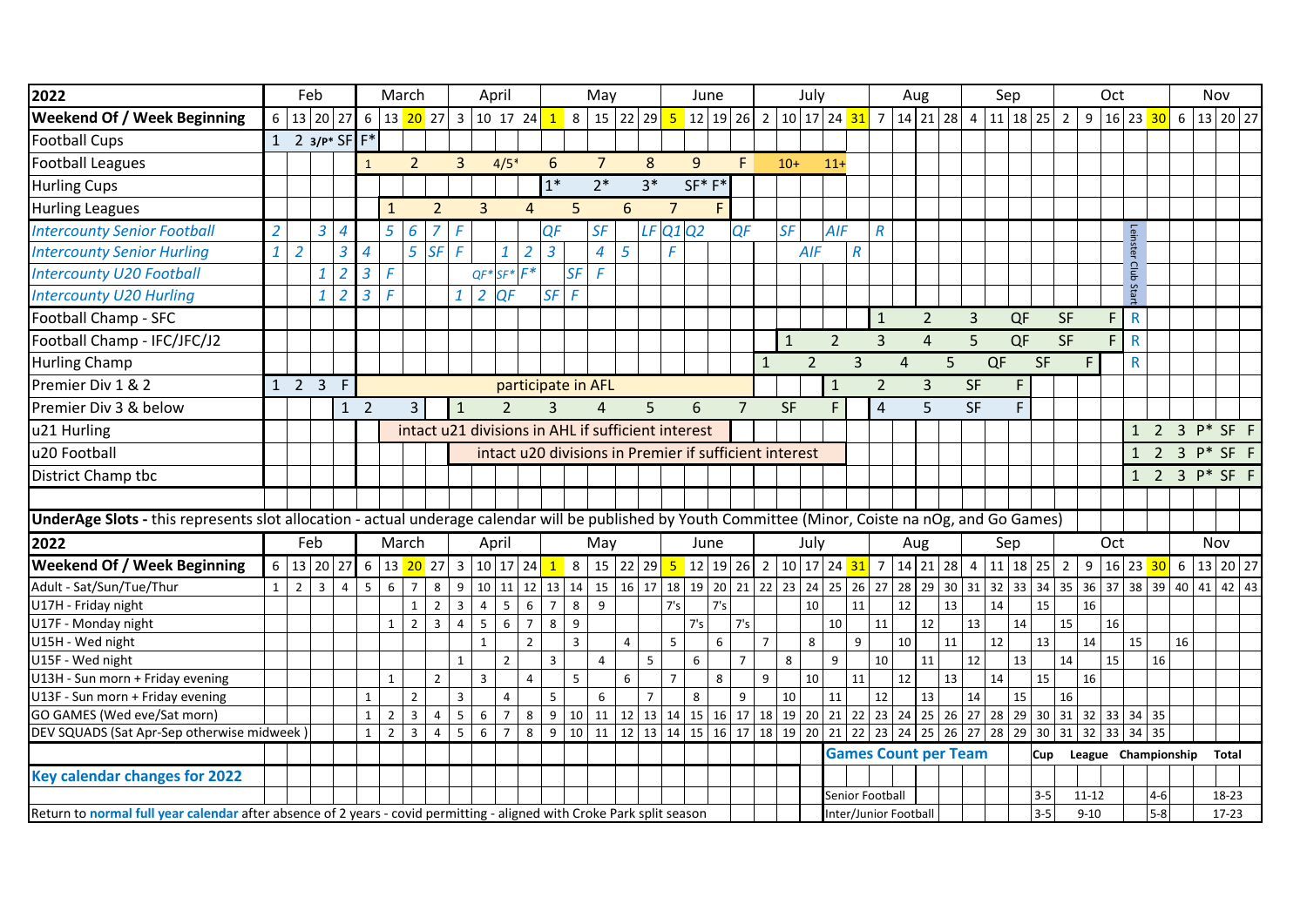| 2022                                                                                                                                                  | Feb            |                                    |                | March           |                       |                |                |                    | April          |                                                     | May                              |                |                    |                |                                                        | June                            |         |                  |                |              | July            | Aug            |                                                                                 |                | Sep |                |     |                     | Oct            |           |            |                         | Nov     |                                                                                                 |           |
|-------------------------------------------------------------------------------------------------------------------------------------------------------|----------------|------------------------------------|----------------|-----------------|-----------------------|----------------|----------------|--------------------|----------------|-----------------------------------------------------|----------------------------------|----------------|--------------------|----------------|--------------------------------------------------------|---------------------------------|---------|------------------|----------------|--------------|-----------------|----------------|---------------------------------------------------------------------------------|----------------|-----|----------------|-----|---------------------|----------------|-----------|------------|-------------------------|---------|-------------------------------------------------------------------------------------------------|-----------|
| <b>Weekend Of / Week Beginning</b>                                                                                                                    |                | $6 \mid 13 \mid 20 \mid 27$        |                | $6\phantom{1}6$ |                       |                |                |                    |                | 13 <mark>20</mark> 27   3   10 17 24 <mark> </mark> | $\overline{1}$                   |                |                    |                | 8   15   22   29   5                                   |                                 |         | 12   19   26   2 |                |              | $10 17 24$ 31 7 |                |                                                                                 |                |     |                |     | 14 21 28 4 11 18 25 | $\overline{2}$ |           | 9 16 23 30 |                         |         | $6 \mid 13 \mid 20 \mid 27$                                                                     |           |
| Football Cups                                                                                                                                         |                | 1 2 $3/P^*$ SF F <sup>*</sup>      |                |                 |                       |                |                |                    |                |                                                     |                                  |                |                    |                |                                                        |                                 |         |                  |                |              |                 |                |                                                                                 |                |     |                |     |                     |                |           |            |                         |         |                                                                                                 |           |
| Football Leagues                                                                                                                                      |                |                                    |                | $\mathbf{1}$    |                       | $\overline{2}$ |                | $\overline{3}$     |                | $4/5*$                                              | 6                                |                | $\overline{7}$     |                | 8                                                      | 9                               |         | F.               |                | $10+$        | $11+$           |                |                                                                                 |                |     |                |     |                     |                |           |            |                         |         |                                                                                                 |           |
| <b>Hurling Cups</b>                                                                                                                                   |                |                                    |                |                 |                       |                |                |                    |                |                                                     | $1*$                             |                | $2*$               |                | $3*$                                                   |                                 | $SF*F*$ |                  |                |              |                 |                |                                                                                 |                |     |                |     |                     |                |           |            |                         |         |                                                                                                 |           |
| <b>Hurling Leagues</b>                                                                                                                                |                |                                    |                |                 | $\mathbf{1}$          |                | $\overline{2}$ |                    | $\overline{3}$ |                                                     | $\overline{4}$                   | 5 <sup>5</sup> |                    | 6              |                                                        | $\overline{7}$                  | F.      |                  |                |              |                 |                |                                                                                 |                |     |                |     |                     |                |           |            |                         |         |                                                                                                 |           |
| <b>Intercounty Senior Football</b>                                                                                                                    | $\overline{a}$ | 3                                  | $\overline{4}$ |                 | 5                     | 6              |                | F                  |                |                                                     | QF                               |                | SF                 |                | LF                                                     | $Q1$ <sub><math>Q2</math></sub> |         | QF               |                | <b>SF</b>    | <b>AIF</b>      |                | $\overline{R}$                                                                  |                |     |                |     |                     |                |           |            |                         |         |                                                                                                 |           |
| <b>Intercounty Senior Hurling</b>                                                                                                                     | $\mathbf{1}$   | $\overline{2}$                     | 3              | 4               |                       | $\overline{5}$ | SF             | F                  |                | $\mathbf{1}$                                        | $\overline{3}$<br>$\overline{2}$ |                | 4                  | 5              |                                                        | F                               |         |                  |                |              | <b>AIF</b>      | $\overline{R}$ |                                                                                 |                |     |                |     |                     |                |           |            |                         |         |                                                                                                 |           |
| <b>Intercounty U20 Football</b>                                                                                                                       |                |                                    | 2              | 3               | F                     |                |                |                    | $QF^*$ SF*     | $F^*$                                               |                                  | SF             | F                  |                |                                                        |                                 |         |                  |                |              |                 |                |                                                                                 |                |     |                |     |                     |                |           |            | $\epsilon$              |         |                                                                                                 |           |
| <b>Intercounty U20 Hurling</b>                                                                                                                        |                | $\mathbf{1}$                       | $\overline{2}$ | 3               | $\mathsf{F}$          |                |                | $1 \mid 2 \mid QF$ |                |                                                     | <b>SF</b>                        | F              |                    |                |                                                        |                                 |         |                  |                |              |                 |                |                                                                                 |                |     |                |     |                     |                |           |            |                         |         |                                                                                                 |           |
| Football Champ - SFC                                                                                                                                  |                |                                    |                |                 |                       |                |                |                    |                |                                                     |                                  |                |                    |                |                                                        |                                 |         |                  |                |              |                 |                | $\mathbf{1}$                                                                    | $\overline{2}$ |     | $\overline{3}$ |     | QF                  | SF             |           | F          | $\mathsf{R}$            |         |                                                                                                 |           |
| Football Champ - IFC/JFC/J2                                                                                                                           |                |                                    |                |                 |                       |                |                |                    |                |                                                     |                                  |                |                    |                |                                                        |                                 |         |                  |                | $\mathbf{1}$ | $\overline{2}$  |                | 3                                                                               | $\overline{4}$ |     | 5              |     | QF                  | SF             |           | F          | $\overline{\mathsf{R}}$ |         |                                                                                                 |           |
| Hurling Champ                                                                                                                                         |                |                                    |                |                 |                       |                |                |                    |                |                                                     |                                  |                |                    |                |                                                        |                                 |         |                  | $\mathbf{1}$   |              | $\overline{2}$  | $\overline{3}$ | $\overline{4}$                                                                  |                | 5   |                | QF  | <b>SF</b>           |                | F.        |            | R                       |         |                                                                                                 |           |
| Premier Div 1 & 2                                                                                                                                     |                | $1 \quad 2 \quad 3$                | F              |                 |                       |                |                |                    |                |                                                     |                                  |                | participate in AFL |                |                                                        |                                 |         |                  |                |              | $1\,$           |                | $\overline{2}$                                                                  | $\overline{3}$ |     | <b>SF</b>      |     | F                   |                |           |            |                         |         |                                                                                                 |           |
| Premier Div 3 & below                                                                                                                                 |                |                                    |                | $1\quad2$       |                       | $\overline{3}$ |                | $\mathbf{1}$       |                | 2                                                   |                                  |                | $\overline{4}$     |                | 5                                                      | 6                               |         | $\overline{7}$   |                | SF           | F.              |                | $\overline{4}$                                                                  | 5              |     | <b>SF</b>      |     | F.                  |                |           |            |                         |         |                                                                                                 |           |
| u21 Hurling                                                                                                                                           |                |                                    |                |                 |                       |                |                |                    |                |                                                     |                                  |                |                    |                | intact u21 divisions in AHL if sufficient interest     |                                 |         |                  |                |              |                 |                |                                                                                 |                |     |                |     |                     |                |           |            | $\mathbf{1}$            |         | 2 3 P* SF F                                                                                     |           |
| u20 Football                                                                                                                                          |                |                                    |                |                 |                       |                |                |                    |                |                                                     |                                  |                |                    |                | intact u20 divisions in Premier if sufficient interest |                                 |         |                  |                |              |                 |                |                                                                                 |                |     |                |     |                     |                |           |            |                         |         | 1 2 3 P* SF F                                                                                   |           |
| District Champ tbc                                                                                                                                    |                |                                    |                |                 |                       |                |                |                    |                |                                                     |                                  |                |                    |                |                                                        |                                 |         |                  |                |              |                 |                |                                                                                 |                |     |                |     |                     |                |           |            |                         |         | $1 2 3 P* SF F$                                                                                 |           |
|                                                                                                                                                       |                |                                    |                |                 |                       |                |                |                    |                |                                                     |                                  |                |                    |                |                                                        |                                 |         |                  |                |              |                 |                |                                                                                 |                |     |                |     |                     |                |           |            |                         |         |                                                                                                 |           |
| UnderAge Slots - this represents slot allocation - actual underage calendar will be published by Youth Committee (Minor, Coiste na nOg, and Go Games) |                |                                    |                |                 |                       |                |                |                    |                |                                                     |                                  |                |                    |                |                                                        |                                 |         |                  |                |              |                 |                |                                                                                 |                |     |                |     |                     |                |           |            |                         |         |                                                                                                 |           |
| 2022                                                                                                                                                  |                | Feb                                |                |                 | March                 |                |                |                    | April          |                                                     |                                  |                | May                |                |                                                        |                                 | June    |                  |                |              | July            |                |                                                                                 | Aug            |     |                | Sep |                     |                |           | Oct        |                         |         | Nov                                                                                             |           |
| <b>Weekend Of / Week Beginning</b>                                                                                                                    |                | $6 \mid 13 \mid 20 \mid 27 \mid 6$ |                |                 | 13 <mark>20</mark> 27 |                |                | 3   10   17        |                |                                                     | 24                               |                |                    |                |                                                        |                                 |         |                  |                |              |                 |                |                                                                                 |                |     |                |     |                     | 2              |           |            |                         |         | 9 16 23 30 6 13 20 27                                                                           |           |
| Adult - Sat/Sun/Tue/Thur                                                                                                                              | $\mathbf{1}$   | $\overline{2}$<br>3 <sup>1</sup>   | 4 <sup>1</sup> | 5               | 6                     | $\overline{7}$ | 8              | 9   10   11        |                |                                                     |                                  |                |                    |                |                                                        |                                 |         |                  |                |              |                 |                |                                                                                 |                |     |                |     |                     |                |           |            |                         |         | 12 13 14 15 16 17 18 19 20 21 22 23 24 25 26 27 28 29 30 31 32 33 34 35 36 37 38 39 40 41 42 43 |           |
| U17H - Friday night                                                                                                                                   |                |                                    |                |                 |                       | $\mathbf{1}$   | $\overline{2}$ | $\overline{3}$     | $\overline{4}$ | 5 <sup>1</sup>                                      | 6<br>$\overline{7}$              | 8              | 9                  |                |                                                        | 7's                             | 7's     |                  |                |              | 10              | 11             | 12                                                                              |                | 13  |                | 14  | 15                  |                | 16        |            |                         |         |                                                                                                 |           |
| U17F - Monday night                                                                                                                                   |                |                                    |                |                 | $\mathbf{1}$          | $\overline{2}$ | $\overline{3}$ | $\overline{4}$     | 5              | $6\overline{6}$                                     | $\overline{7}$<br>8              | 9              |                    |                |                                                        | 7's                             |         | 7's              |                |              | 10              |                | 11                                                                              | 12             |     | 13             |     | 14                  | 15             |           | 16         |                         |         |                                                                                                 |           |
| U15H - Wed night                                                                                                                                      |                |                                    |                |                 |                       |                |                |                    | $\mathbf{1}$   |                                                     | $\overline{2}$                   | $\overline{3}$ |                    | $\overline{4}$ |                                                        | 5                               | 6       |                  | $\overline{7}$ |              | 8               | 9              | 10                                                                              |                | 11  |                | 12  | 13                  |                | 14        |            | 15                      |         | 16                                                                                              |           |
| U15F - Wed night                                                                                                                                      |                |                                    |                |                 |                       |                |                | $\mathbf{1}$       |                | $\overline{2}$                                      | $\overline{3}$                   |                | $\overline{4}$     |                | 5                                                      | 6                               |         | $\overline{7}$   |                | 8            | 9               |                | 10                                                                              | 11             |     | 12             |     | 13                  | 14             |           | 15         |                         | 16      |                                                                                                 |           |
| U13H - Sun morn + Friday evening                                                                                                                      |                |                                    |                |                 | $\mathbf{1}$          |                | $\overline{2}$ |                    | 3              |                                                     | $\overline{4}$                   | 5              |                    | 6              |                                                        | $\overline{7}$                  | 8       |                  | 9              |              | 10              | 11             | 12                                                                              |                | 13  |                | 14  | 15                  |                | 16        |            |                         |         |                                                                                                 |           |
| U13F - Sun morn + Friday evening                                                                                                                      |                |                                    |                | $\mathbf{1}$    |                       | $\overline{2}$ |                | $\overline{3}$     |                | $\overline{4}$                                      | 5                                |                | 6                  |                | $\overline{7}$                                         | 8                               |         | 9                |                | 10           | 11              |                | 12                                                                              | 13             |     | 14             |     | 15                  | 16             |           |            |                         |         |                                                                                                 |           |
| GO GAMES (Wed eve/Sat morn)                                                                                                                           |                |                                    |                | $\mathbf{1}$    | $\overline{2}$        | $\overline{3}$ | $\overline{4}$ | 5 <sup>1</sup>     | 6              | $\overline{7}$                                      | 8<br>9                           |                |                    |                |                                                        |                                 |         |                  |                |              |                 |                | 10 11 12 13 14 15 16 17 18 19 20 21 22 23 24 25 26 27 28 29 30 31 32 33 34 35   |                |     |                |     |                     |                |           |            |                         |         |                                                                                                 |           |
| DEV SQUADS (Sat Apr-Sep otherwise midweek)                                                                                                            |                |                                    |                | $\mathbf{1}$    | $\overline{2}$        | $\overline{3}$ | $\overline{4}$ | 5 <sup>1</sup>     | 6              | $\overline{7}$                                      | 8                                |                |                    |                |                                                        |                                 |         |                  |                |              |                 |                | 9 10 11 12 13 14 15 16 17 18 19 20 21 22 23 24 25 26 27 28 29 30 31 32 33 34 35 |                |     |                |     |                     |                |           |            |                         |         |                                                                                                 |           |
|                                                                                                                                                       |                |                                    |                |                 |                       |                |                |                    |                |                                                     |                                  |                |                    |                |                                                        |                                 |         |                  |                |              |                 |                | <b>Games Count per Team</b>                                                     |                |     |                |     | Cup                 |                |           |            |                         |         | League Championship                                                                             | Total     |
| <b>Key calendar changes for 2022</b>                                                                                                                  |                |                                    |                |                 |                       |                |                |                    |                |                                                     |                                  |                |                    |                |                                                        |                                 |         |                  |                |              |                 |                |                                                                                 |                |     |                |     |                     |                |           |            |                         |         |                                                                                                 |           |
|                                                                                                                                                       |                |                                    |                |                 |                       |                |                |                    |                |                                                     |                                  |                |                    |                |                                                        |                                 |         |                  |                |              |                 |                | Senior Football                                                                 |                |     |                |     | $3-5$               |                | $11 - 12$ |            |                         | $4 - 6$ |                                                                                                 | 18-23     |
| Return to normal full year calendar after absence of 2 years - covid permitting - aligned with Croke Park split season                                |                |                                    |                |                 |                       |                |                |                    |                |                                                     |                                  |                |                    |                |                                                        |                                 |         |                  |                |              |                 |                | Inter/Junior Football                                                           |                |     |                |     | $3-5$               |                | $9 - 10$  |            |                         | $5-8$   |                                                                                                 | $17 - 23$ |